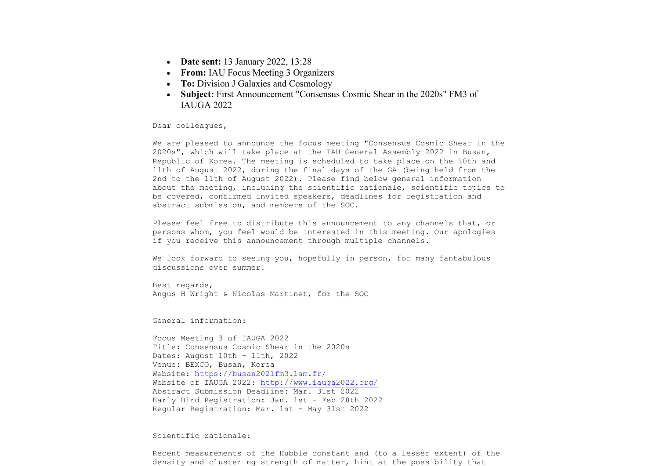- **Date sent:** 13 January 2022, 13:28
- **From:** IAU Focus Meeting 3 Organizers
- **To:** Division J Galaxies and Cosmology
- **Subject:** First Announcement "Consensus Cosmic Shear in the 2020s" FM3 of IAUGA 2022

Dear colleagues,

We are pleased to announce the focus meeting "Consensus Cosmic Shear in the 2020s", which will take place at the IAU General Assembly 2022 in Busan, Republic of Korea. The meeting is scheduled to take place on the 10th and 11th of August 2022, during the final days of the GA (being held from the 2nd to the 11th of August 2022). Please find below general information about the meeting, including the scientific rationale, scientific topics to be covered, confirmed invited speakers, deadlines for registration and abstract submission, and members of the SOC.

Please feel free to distribute this announcement to any channels that, or persons whom, you feel would be interested in this meeting. Our apologies if you receive this announcement through multiple channels.

We look forward to seeing you, hopefully in person, for many fantabulous discussions over summer!

Best regards, Angus H Wright & Nicolas Martinet, for the SOC

General information:

Focus Meeting 3 of IAUGA 2022 Title: Consensus Cosmic Shear in the 2020s Dates: August 10th - 11th, 2022 Venue: BEXCO, Busan, Korea Website: https://busan2021fm3.lam.fr/ Website of IAUGA 2022: http://www.iauga2022.org/ Abstract Submission Deadline: Mar. 31st 2022 Early Bird Registration: Jan. 1st - Feb 28th 2022 Regular Registration: Mar. 1st - May 31st 2022

## Scientific rationale:

Recent measurements of the Hubble constant and (to a lesser extent) of the density and clustering strength of matter, hint at the possibility that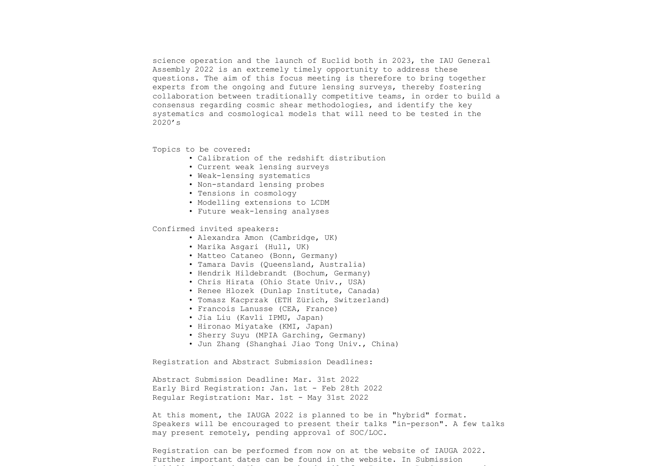science operation and the launch of Euclid both in 2023, the IAU General Assembly 2022 is an extremely timely opportunity to address these questions. The aim of this focus meeting is therefore to bring together experts from the ongoing and future lensing surveys, thereby fostering collaboration between traditionally competitive teams, in order to build a consensus regarding cosmic shear methodologies, and identify the key systematics and cosmological models that will need to be tested in the 2020's

Topics to be covered:

- Calibration of the redshift distribution
- Current weak lensing surveys
- Weak-lensing systematics
- Non-standard lensing probes
- Tensions in cosmology
- Modelling extensions to LCDM
- Future weak-lensing analyses

Confirmed invited speakers:

- Alexandra Amon (Cambridge, UK)
- Marika Asgari (Hull, UK)
- Matteo Cataneo (Bonn, Germany)
- Tamara Davis (Queensland, Australia)
- Hendrik Hildebrandt (Bochum, Germany)
- Chris Hirata (Ohio State Univ., USA)
- Renee Hlozek (Dunlap Institute, Canada)
- Tomasz Kacprzak (ETH Zürich, Switzerland)
- Francois Lanusse (CEA, France)
- Jia Liu (Kavli IPMU, Japan)
- Hironao Miyatake (KMI, Japan)
- Sherry Suyu (MPIA Garching, Germany)
- Jun Zhang (Shanghai Jiao Tong Univ., China)

Registration and Abstract Submission Deadlines:

Abstract Submission Deadline: Mar. 31st 2022 Early Bird Registration: Jan. 1st - Feb 28th 2022 Regular Registration: Mar. 1st - May 31st 2022

At this moment, the IAUGA 2022 is planned to be in "hybrid" format. Speakers will be encouraged to present their talks "in-person". A few talks may present remotely, pending approval of SOC/LOC.

Registration can be performed from now on at the website of IAUGA 2022. Further important dates can be found in the website. In Submission Guideline under the Abstract tab, details for In-person Registrants and